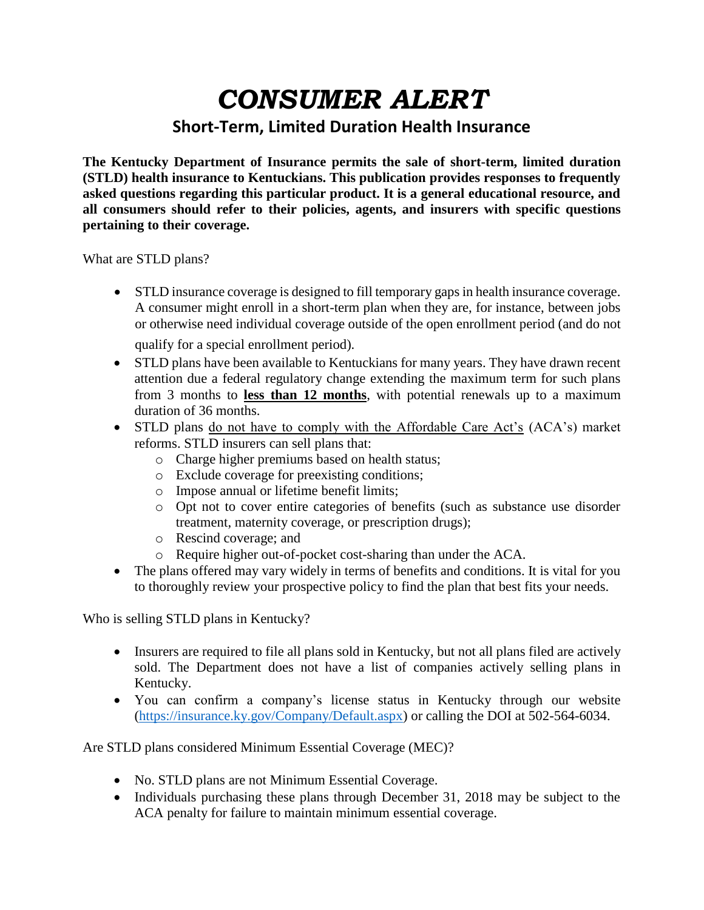## *CONSUMER ALERT*

## **Short-Term, Limited Duration Health Insurance**

**The Kentucky Department of Insurance permits the sale of short-term, limited duration (STLD) health insurance to Kentuckians. This publication provides responses to frequently asked questions regarding this particular product. It is a general educational resource, and all consumers should refer to their policies, agents, and insurers with specific questions pertaining to their coverage.** 

What are STLD plans?

 STLD insurance coverage is designed to fill temporary gapsin health insurance coverage. A consumer might enroll in a short-term plan when they are, for instance, between jobs or otherwise need individual coverage outside of the open enrollment period (and do not

qualify for a special enrollment period).

- STLD plans have been available to Kentuckians for many years. They have drawn recent attention due a federal regulatory change extending the maximum term for such plans from 3 months to **less than 12 months**, with potential renewals up to a maximum duration of 36 months.
- STLD plans do not have to comply with the Affordable Care Act's (ACA's) market reforms. STLD insurers can sell plans that:
	- o Charge higher premiums based on health status;
	- o Exclude coverage for preexisting conditions;
	- o Impose annual or lifetime benefit limits;
	- o Opt not to cover entire categories of benefits (such as substance use disorder treatment, maternity coverage, or prescription drugs);
	- o Rescind coverage; and
	- o Require higher out-of-pocket cost-sharing than under the ACA.
- The plans offered may vary widely in terms of benefits and conditions. It is vital for you to thoroughly review your prospective policy to find the plan that best fits your needs.

Who is selling STLD plans in Kentucky?

- Insurers are required to file all plans sold in Kentucky, but not all plans filed are actively sold. The Department does not have a list of companies actively selling plans in Kentucky.
- You can confirm a company's license status in Kentucky through our website [\(https://insurance.ky.gov/Company/Default.aspx\)](https://insurance.ky.gov/Company/Default.aspx) or calling the DOI at 502-564-6034.

Are STLD plans considered Minimum Essential Coverage (MEC)?

- No. STLD plans are not Minimum Essential Coverage.
- Individuals purchasing these plans through December 31, 2018 may be subject to the ACA penalty for failure to maintain minimum essential coverage.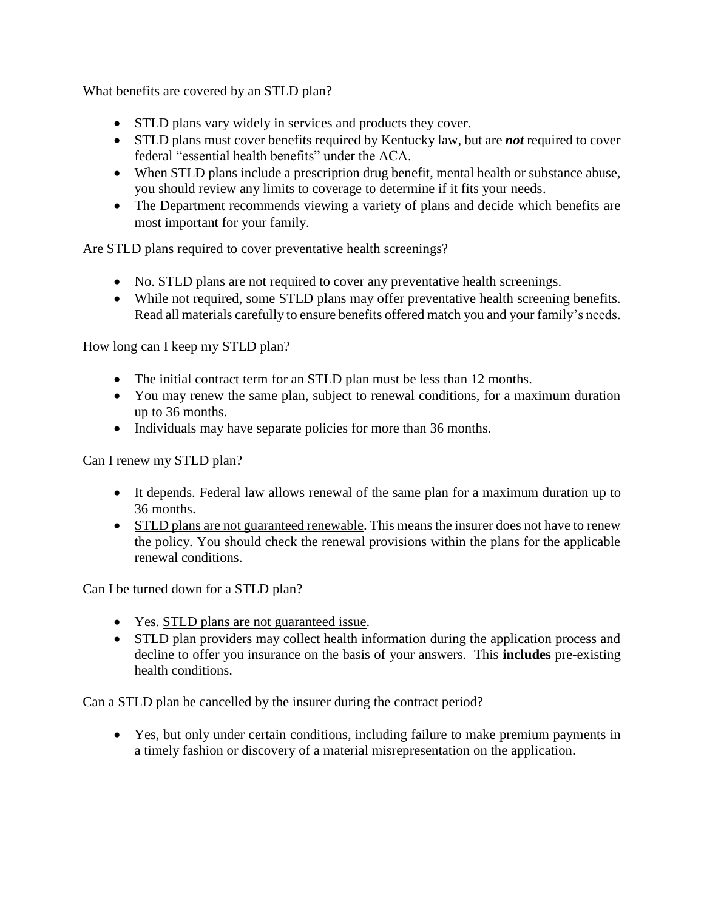What benefits are covered by an STLD plan?

- STLD plans vary widely in services and products they cover.
- STLD plans must cover benefits required by Kentucky law, but are *not* required to cover federal "essential health benefits" under the ACA.
- When STLD plans include a prescription drug benefit, mental health or substance abuse, you should review any limits to coverage to determine if it fits your needs.
- The Department recommends viewing a variety of plans and decide which benefits are most important for your family.

Are STLD plans required to cover preventative health screenings?

- No. STLD plans are not required to cover any preventative health screenings.
- While not required, some STLD plans may offer preventative health screening benefits. Read all materials carefully to ensure benefits offered match you and your family's needs.

How long can I keep my STLD plan?

- The initial contract term for an STLD plan must be less than 12 months.
- You may renew the same plan, subject to renewal conditions, for a maximum duration up to 36 months.
- Individuals may have separate policies for more than 36 months.

Can I renew my STLD plan?

- It depends. Federal law allows renewal of the same plan for a maximum duration up to 36 months.
- STLD plans are not guaranteed renewable. This means the insurer does not have to renew the policy. You should check the renewal provisions within the plans for the applicable renewal conditions.

Can I be turned down for a STLD plan?

- Yes. STLD plans are not guaranteed issue.
- STLD plan providers may collect health information during the application process and decline to offer you insurance on the basis of your answers. This **includes** pre-existing health conditions.

Can a STLD plan be cancelled by the insurer during the contract period?

 Yes, but only under certain conditions, including failure to make premium payments in a timely fashion or discovery of a material misrepresentation on the application.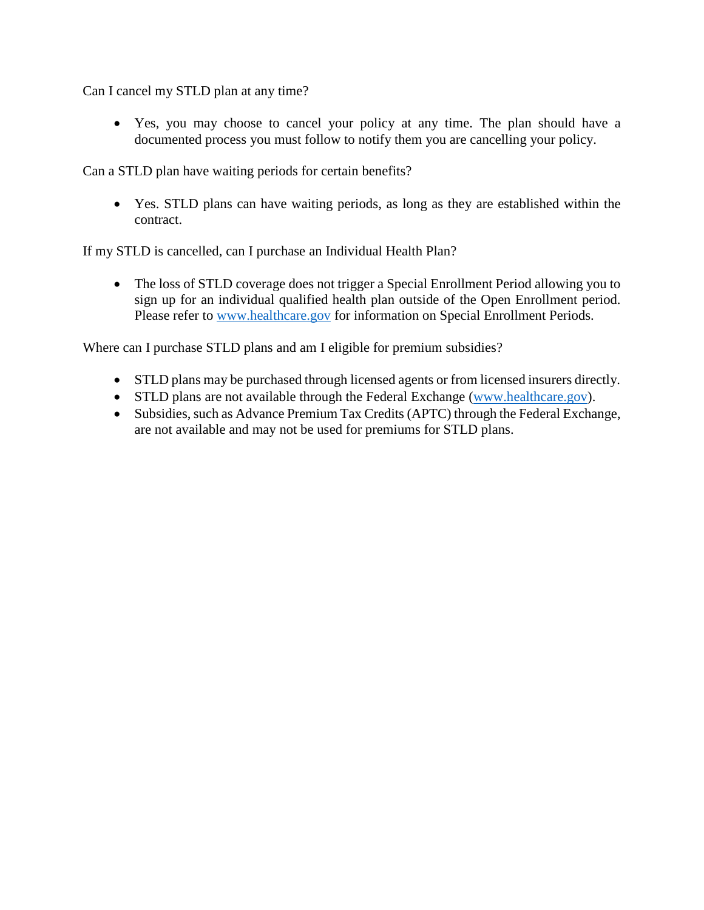Can I cancel my STLD plan at any time?

 Yes, you may choose to cancel your policy at any time. The plan should have a documented process you must follow to notify them you are cancelling your policy.

Can a STLD plan have waiting periods for certain benefits?

 Yes. STLD plans can have waiting periods, as long as they are established within the contract.

If my STLD is cancelled, can I purchase an Individual Health Plan?

• The loss of STLD coverage does not trigger a Special Enrollment Period allowing you to sign up for an individual qualified health plan outside of the Open Enrollment period. Please refer to [www.healthcare.gov](http://www.healthcare.gov/) for information on Special Enrollment Periods.

Where can I purchase STLD plans and am I eligible for premium subsidies?

- STLD plans may be purchased through licensed agents or from licensed insurers directly.
- STLD plans are not available through the Federal Exchange [\(www.healthcare.gov\)](http://www.healthcare.gov/).
- Subsidies, such as Advance Premium Tax Credits (APTC) through the Federal Exchange, are not available and may not be used for premiums for STLD plans.